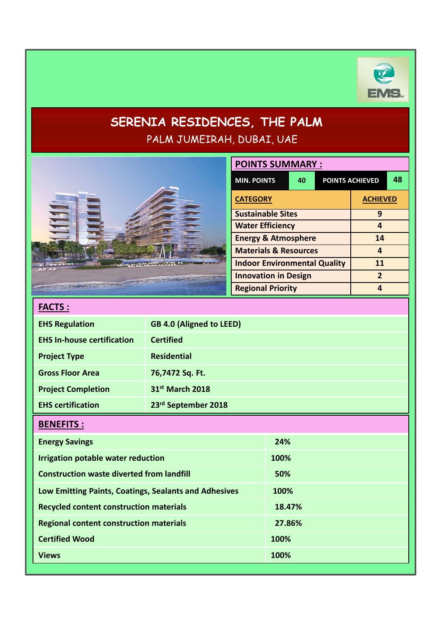

# **SERENIA RESIDENCES, THE PALM** PALM JUMEIRAH, DUBAI, UAE

|                                                       | <b>POINTS SUMMARY:</b>          |                                                         |                              |  |                 |                         |    |
|-------------------------------------------------------|---------------------------------|---------------------------------------------------------|------------------------------|--|-----------------|-------------------------|----|
|                                                       |                                 | <b>MIN. POINTS</b>                                      | 40<br><b>POINTS ACHIEVED</b> |  |                 |                         | 48 |
|                                                       |                                 | <b>CATEGORY</b>                                         |                              |  | <b>ACHIEVED</b> |                         |    |
|                                                       |                                 | <b>Sustainable Sites</b>                                |                              |  |                 | 9                       |    |
|                                                       |                                 | <b>Water Efficiency</b>                                 |                              |  |                 | $\overline{\mathbf{4}}$ |    |
|                                                       |                                 | <b>Energy &amp; Atmosphere</b>                          |                              |  |                 | 14                      |    |
|                                                       |                                 | <b>Materials &amp; Resources</b>                        |                              |  |                 | 4                       |    |
|                                                       |                                 | <b>Indoor Environmental Quality</b>                     |                              |  |                 | 11<br>$\overline{2}$    |    |
|                                                       |                                 | <b>Innovation in Design</b><br><b>Regional Priority</b> |                              |  |                 | $\overline{4}$          |    |
|                                                       |                                 |                                                         |                              |  |                 |                         |    |
| <b>FACTS:</b>                                         |                                 |                                                         |                              |  |                 |                         |    |
| <b>EHS Regulation</b>                                 | <b>GB 4.0 (Aligned to LEED)</b> |                                                         |                              |  |                 |                         |    |
| <b>EHS In-house certification</b>                     | <b>Certified</b>                |                                                         |                              |  |                 |                         |    |
| <b>Project Type</b>                                   | <b>Residential</b>              |                                                         |                              |  |                 |                         |    |
| <b>Gross Floor Area</b>                               | 76,7472 Sq. Ft.                 |                                                         |                              |  |                 |                         |    |
| <b>Project Completion</b>                             | 31st March 2018                 |                                                         |                              |  |                 |                         |    |
| <b>EHS certification</b>                              | 23rd September 2018             |                                                         |                              |  |                 |                         |    |
| <b>BENEFITS:</b>                                      |                                 |                                                         |                              |  |                 |                         |    |
| <b>Energy Savings</b>                                 |                                 |                                                         | 24%                          |  |                 |                         |    |
| <b>Irrigation potable water reduction</b>             |                                 |                                                         | 100%                         |  |                 |                         |    |
| <b>Construction waste diverted from landfill</b>      |                                 |                                                         | 50%                          |  |                 |                         |    |
| Low Emitting Paints, Coatings, Sealants and Adhesives |                                 |                                                         | 100%                         |  |                 |                         |    |
| <b>Recycled content construction materials</b>        |                                 |                                                         | 18.47%                       |  |                 |                         |    |
| <b>Regional content construction materials</b>        |                                 |                                                         | 27.86%                       |  |                 |                         |    |
| <b>Certified Wood</b>                                 |                                 |                                                         | 100%                         |  |                 |                         |    |
| <b>Views</b>                                          |                                 |                                                         | 100%                         |  |                 |                         |    |